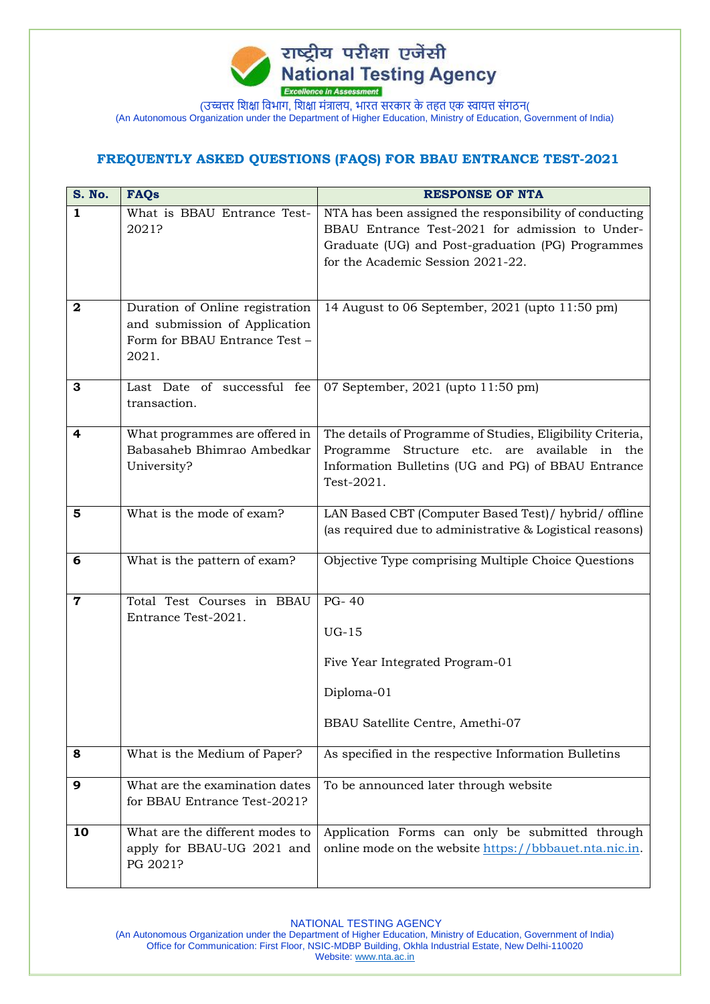

## **FREQUENTLY ASKED QUESTIONS (FAQS) FOR BBAU ENTRANCE TEST-2021**

| <b>S. No.</b> | <b>FAQs</b>                                                                                                | <b>RESPONSE OF NTA</b>                                                                                                                                                                              |
|---------------|------------------------------------------------------------------------------------------------------------|-----------------------------------------------------------------------------------------------------------------------------------------------------------------------------------------------------|
| $\mathbf{1}$  | What is BBAU Entrance Test-<br>2021?                                                                       | NTA has been assigned the responsibility of conducting<br>BBAU Entrance Test-2021 for admission to Under-<br>Graduate (UG) and Post-graduation (PG) Programmes<br>for the Academic Session 2021-22. |
| $\mathbf{2}$  | Duration of Online registration<br>and submission of Application<br>Form for BBAU Entrance Test -<br>2021. | 14 August to 06 September, 2021 (upto 11:50 pm)                                                                                                                                                     |
| 3             | Last Date of successful fee<br>transaction.                                                                | 07 September, 2021 (upto 11:50 pm)                                                                                                                                                                  |
| 4             | What programmes are offered in<br>Babasaheb Bhimrao Ambedkar<br>University?                                | The details of Programme of Studies, Eligibility Criteria,<br>Structure etc. are available in the<br>Programme<br>Information Bulletins (UG and PG) of BBAU Entrance<br>Test-2021.                  |
| 5             | What is the mode of exam?                                                                                  | LAN Based CBT (Computer Based Test) / hybrid / offline<br>(as required due to administrative & Logistical reasons)                                                                                  |
| 6             | What is the pattern of exam?                                                                               | Objective Type comprising Multiple Choice Questions                                                                                                                                                 |
| $\mathbf 7$   | Total Test Courses in BBAU<br>Entrance Test-2021.                                                          | PG-40<br>$UG-15$<br>Five Year Integrated Program-01<br>Diploma-01<br>BBAU Satellite Centre, Amethi-07                                                                                               |
| 8             | What is the Medium of Paper?                                                                               | As specified in the respective Information Bulletins                                                                                                                                                |
| 9             | What are the examination dates<br>for BBAU Entrance Test-2021?                                             | To be announced later through website                                                                                                                                                               |
| 10            | What are the different modes to<br>apply for BBAU-UG 2021 and<br>PG 2021?                                  | Application Forms can only be submitted through<br>online mode on the website https://bbbauet.nta.nic.in.                                                                                           |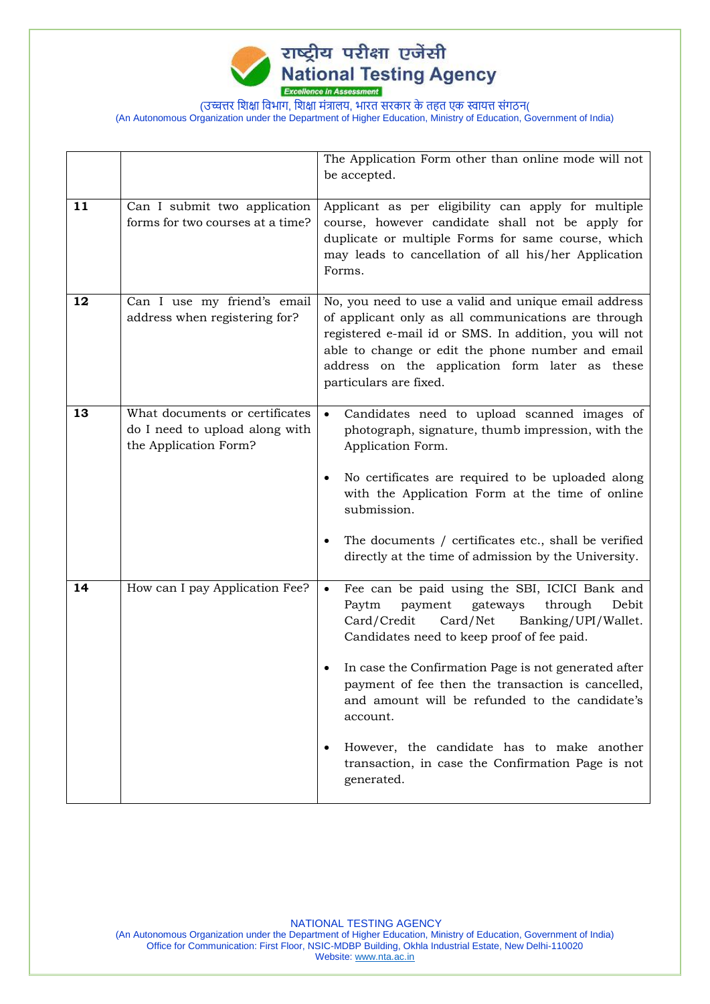

|    |                                                                                           | The Application Form other than online mode will not<br>be accepted.                                                                                                                                                                                                                                                                                                                      |
|----|-------------------------------------------------------------------------------------------|-------------------------------------------------------------------------------------------------------------------------------------------------------------------------------------------------------------------------------------------------------------------------------------------------------------------------------------------------------------------------------------------|
| 11 | Can I submit two application<br>forms for two courses at a time?                          | Applicant as per eligibility can apply for multiple<br>course, however candidate shall not be apply for<br>duplicate or multiple Forms for same course, which<br>may leads to cancellation of all his/her Application<br>Forms.                                                                                                                                                           |
| 12 | Can I use my friend's email<br>address when registering for?                              | No, you need to use a valid and unique email address<br>of applicant only as all communications are through<br>registered e-mail id or SMS. In addition, you will not<br>able to change or edit the phone number and email<br>address on the application form later as these<br>particulars are fixed.                                                                                    |
| 13 | What documents or certificates<br>do I need to upload along with<br>the Application Form? | Candidates need to upload scanned images of<br>$\bullet$<br>photograph, signature, thumb impression, with the<br>Application Form.<br>No certificates are required to be uploaded along<br>٠<br>with the Application Form at the time of online<br>submission.<br>The documents / certificates etc., shall be verified<br>٠<br>directly at the time of admission by the University.       |
| 14 | How can I pay Application Fee?                                                            | Fee can be paid using the SBI, ICICI Bank and<br>$\bullet$<br>Paytm<br>payment<br>gateways<br>through<br>Debit<br>Card/Credit<br>Card/Net<br>Banking/UPI/Wallet.<br>Candidates need to keep proof of fee paid.<br>In case the Confirmation Page is not generated after<br>payment of fee then the transaction is cancelled,<br>and amount will be refunded to the candidate's<br>account. |
|    |                                                                                           | However, the candidate has to make another<br>٠<br>transaction, in case the Confirmation Page is not<br>generated.                                                                                                                                                                                                                                                                        |

NATIONAL TESTING AGENCY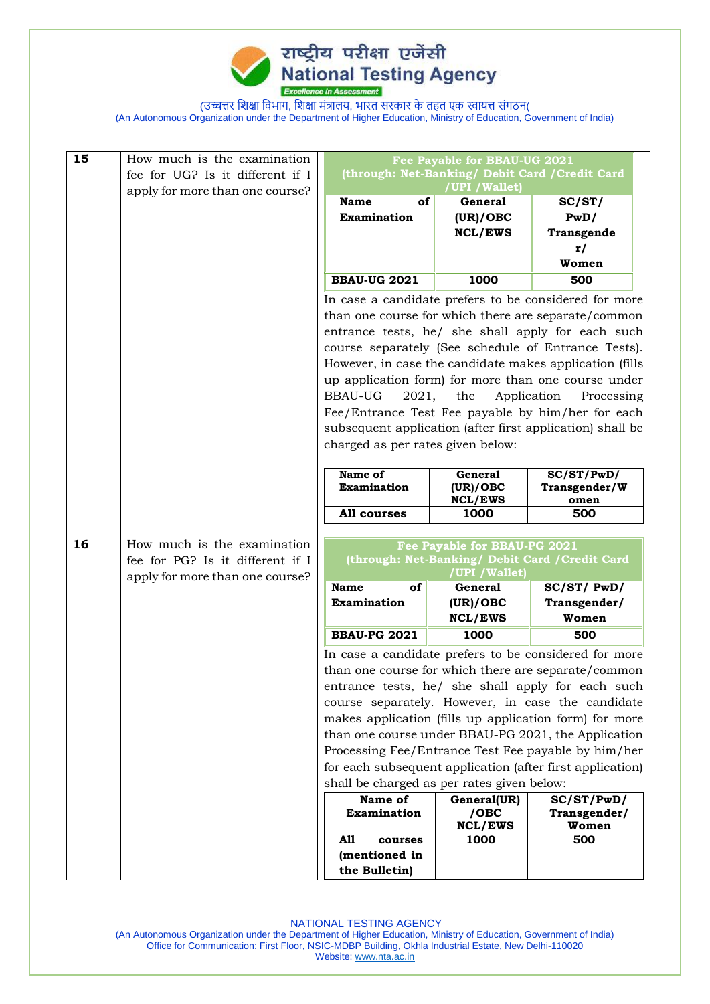

| 15 | How much is the examination      |                                                                                                          |                              |                           |
|----|----------------------------------|----------------------------------------------------------------------------------------------------------|------------------------------|---------------------------|
|    | fee for UG? Is it different if I | Fee Payable for BBAU-UG 2021<br>(through: Net-Banking/ Debit Card / Credit Card                          |                              |                           |
|    | apply for more than one course?  | /UPI / Wallet)                                                                                           |                              |                           |
|    |                                  | of<br><b>Name</b>                                                                                        | <b>General</b>               | SC/ST/                    |
|    |                                  | <b>Examination</b>                                                                                       | (UR)/OBC                     | PwD/                      |
|    |                                  |                                                                                                          | <b>NCL/EWS</b>               | Transgende                |
|    |                                  |                                                                                                          |                              | r/                        |
|    |                                  |                                                                                                          |                              | Women                     |
|    |                                  | <b>BBAU-UG 2021</b>                                                                                      | 1000                         | 500                       |
|    |                                  | In case a candidate prefers to be considered for more                                                    |                              |                           |
|    |                                  | than one course for which there are separate/common                                                      |                              |                           |
|    |                                  | entrance tests, he/ she shall apply for each such                                                        |                              |                           |
|    |                                  | course separately (See schedule of Entrance Tests).                                                      |                              |                           |
|    |                                  | However, in case the candidate makes application (fills                                                  |                              |                           |
|    |                                  | up application form) for more than one course under                                                      |                              |                           |
|    |                                  | <b>BBAU-UG</b><br>2021,                                                                                  | the                          | Application<br>Processing |
|    |                                  | Fee/Entrance Test Fee payable by him/her for each                                                        |                              |                           |
|    |                                  | subsequent application (after first application) shall be                                                |                              |                           |
|    |                                  | charged as per rates given below:                                                                        |                              |                           |
|    |                                  |                                                                                                          |                              |                           |
|    |                                  | Name of                                                                                                  | <b>General</b>               | SC/ST/PwD/                |
|    |                                  | <b>Examination</b>                                                                                       | (UR)/OBC<br><b>NCL/EWS</b>   | Transgender/W<br>omen     |
|    |                                  | All courses                                                                                              | 1000                         | 500                       |
|    |                                  |                                                                                                          |                              |                           |
| 16 | How much is the examination      |                                                                                                          | Fee Payable for BBAU-PG 2021 |                           |
|    | fee for PG? Is it different if I | (through: Net-Banking/ Debit Card / Credit Card                                                          |                              |                           |
|    | apply for more than one course?  | <b>Name</b><br>of                                                                                        | /UPI / Wallet)<br>General    | SC/ST/ PwD/               |
|    |                                  | <b>Examination</b>                                                                                       | (UR)/OBC                     | Transgender/              |
|    |                                  |                                                                                                          | <b>NCL/EWS</b>               | Women                     |
|    |                                  | <b>BBAU-PG 2021</b>                                                                                      | 1000                         | 500                       |
|    |                                  |                                                                                                          |                              |                           |
|    |                                  | In case a candidate prefers to be considered for more                                                    |                              |                           |
|    |                                  | than one course for which there are separate/common<br>entrance tests, he/ she shall apply for each such |                              |                           |
|    |                                  |                                                                                                          |                              |                           |
|    |                                  | course separately. However, in case the candidate                                                        |                              |                           |
|    |                                  | makes application (fills up application form) for more                                                   |                              |                           |
|    |                                  | than one course under BBAU-PG 2021, the Application                                                      |                              |                           |
|    |                                  | Processing Fee/Entrance Test Fee payable by him/her                                                      |                              |                           |
|    |                                  | for each subsequent application (after first application)                                                |                              |                           |
|    |                                  | shall be charged as per rates given below:                                                               |                              |                           |
|    |                                  | Name of                                                                                                  | General(UR)                  | SC/ST/PwD/                |
|    |                                  | <b>Examination</b>                                                                                       | $/$ OBC<br><b>NCL/EWS</b>    | Transgender/<br>Women     |
|    |                                  |                                                                                                          |                              |                           |
|    |                                  | A11<br>courses                                                                                           |                              |                           |
|    |                                  | (mentioned in                                                                                            | 1000                         | 500                       |

NATIONAL TESTING AGENCY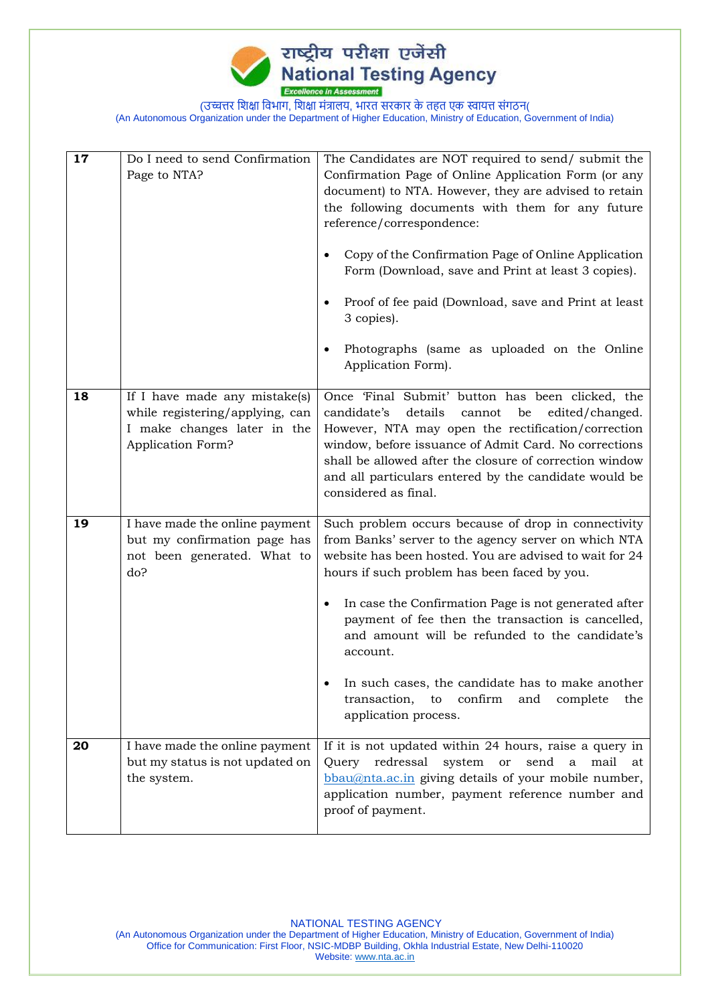

| 17 | Do I need to send Confirmation<br>Page to NTA?                                                                       | The Candidates are NOT required to send/ submit the<br>Confirmation Page of Online Application Form (or any<br>document) to NTA. However, they are advised to retain<br>the following documents with them for any future<br>reference/correspondence:<br>Copy of the Confirmation Page of Online Application<br>Form (Download, save and Print at least 3 copies).<br>Proof of fee paid (Download, save and Print at least<br>3 copies).<br>Photographs (same as uploaded on the Online<br>Application Form).                              |
|----|----------------------------------------------------------------------------------------------------------------------|--------------------------------------------------------------------------------------------------------------------------------------------------------------------------------------------------------------------------------------------------------------------------------------------------------------------------------------------------------------------------------------------------------------------------------------------------------------------------------------------------------------------------------------------|
| 18 | If I have made any mistake(s)<br>while registering/applying, can<br>I make changes later in the<br>Application Form? | Once 'Final Submit' button has been clicked, the<br>candidate's<br>details<br>cannot<br>be<br>edited/changed.<br>However, NTA may open the rectification/correction<br>window, before issuance of Admit Card. No corrections<br>shall be allowed after the closure of correction window<br>and all particulars entered by the candidate would be<br>considered as final.                                                                                                                                                                   |
| 19 | I have made the online payment<br>but my confirmation page has<br>not been generated. What to<br>do?                 | Such problem occurs because of drop in connectivity<br>from Banks' server to the agency server on which NTA<br>website has been hosted. You are advised to wait for 24<br>hours if such problem has been faced by you.<br>In case the Confirmation Page is not generated after<br>٠<br>payment of fee then the transaction is cancelled,<br>and amount will be refunded to the candidate's<br>account.<br>In such cases, the candidate has to make another<br>transaction,<br>to<br>confirm<br>and complete<br>the<br>application process. |
| 20 | I have made the online payment<br>but my status is not updated on<br>the system.                                     | If it is not updated within 24 hours, raise a query in<br>Query redressal<br>system or<br>mail<br>send<br>$\mathbf{a}$<br>at<br>bbau@nta.ac.in giving details of your mobile number,<br>application number, payment reference number and<br>proof of payment.                                                                                                                                                                                                                                                                              |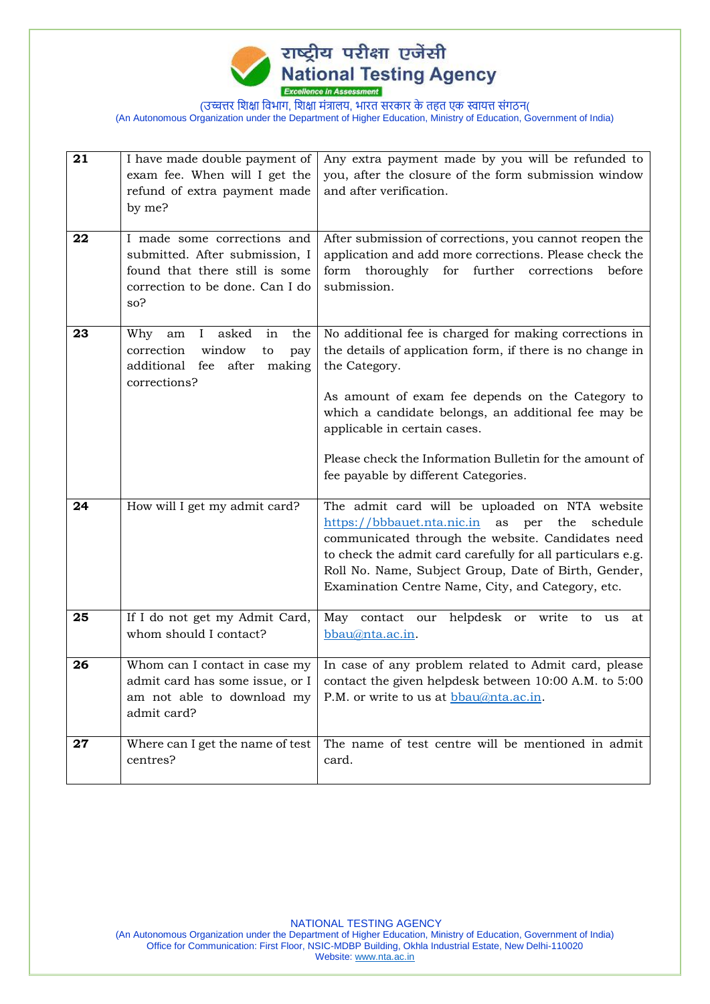

| 21 | I have made double payment of                                        | Any extra payment made by you will be refunded to                                                                   |
|----|----------------------------------------------------------------------|---------------------------------------------------------------------------------------------------------------------|
|    | exam fee. When will I get the                                        | you, after the closure of the form submission window                                                                |
|    | refund of extra payment made                                         | and after verification.                                                                                             |
|    | by me?                                                               |                                                                                                                     |
|    |                                                                      |                                                                                                                     |
| 22 | I made some corrections and                                          | After submission of corrections, you cannot reopen the                                                              |
|    | submitted. After submission, I                                       | application and add more corrections. Please check the                                                              |
|    | found that there still is some                                       | form thoroughly for further corrections<br>before                                                                   |
|    | correction to be done. Can I do                                      | submission.                                                                                                         |
|    | so?                                                                  |                                                                                                                     |
| 23 | asked<br>the                                                         |                                                                                                                     |
|    | Why<br>$\mathbf{I}$<br>am<br>in<br>window<br>correction<br>pay<br>to | No additional fee is charged for making corrections in<br>the details of application form, if there is no change in |
|    | additional fee<br>after<br>making                                    | the Category.                                                                                                       |
|    | corrections?                                                         |                                                                                                                     |
|    |                                                                      | As amount of exam fee depends on the Category to                                                                    |
|    |                                                                      | which a candidate belongs, an additional fee may be                                                                 |
|    |                                                                      | applicable in certain cases.                                                                                        |
|    |                                                                      |                                                                                                                     |
|    |                                                                      | Please check the Information Bulletin for the amount of                                                             |
|    |                                                                      | fee payable by different Categories.                                                                                |
| 24 |                                                                      |                                                                                                                     |
|    | How will I get my admit card?                                        | The admit card will be uploaded on NTA website                                                                      |
|    |                                                                      | https://bbbauet.nta.nic.in<br>as<br>the<br>schedule<br>per<br>communicated through the website. Candidates need     |
|    |                                                                      | to check the admit card carefully for all particulars e.g.                                                          |
|    |                                                                      | Roll No. Name, Subject Group, Date of Birth, Gender,                                                                |
|    |                                                                      | Examination Centre Name, City, and Category, etc.                                                                   |
|    |                                                                      |                                                                                                                     |
| 25 | If I do not get my Admit Card,                                       | May contact our helpdesk or write to<br>us<br>at                                                                    |
|    | whom should I contact?                                               | bbau@nta.ac.in.                                                                                                     |
|    |                                                                      |                                                                                                                     |
| 26 | Whom can I contact in case my                                        | In case of any problem related to Admit card, please                                                                |
|    | admit card has some issue, or $I \mid$                               | contact the given helpdesk between 10:00 A.M. to 5:00                                                               |
|    |                                                                      | am not able to download my   P.M. or write to us at $\underline{bbau@nta.ac.in}$ .                                  |
|    | admit card?                                                          |                                                                                                                     |
| 27 | Where can I get the name of test                                     | The name of test centre will be mentioned in admit                                                                  |
|    | centres?                                                             | card.                                                                                                               |
|    |                                                                      |                                                                                                                     |

NATIONAL TESTING AGENCY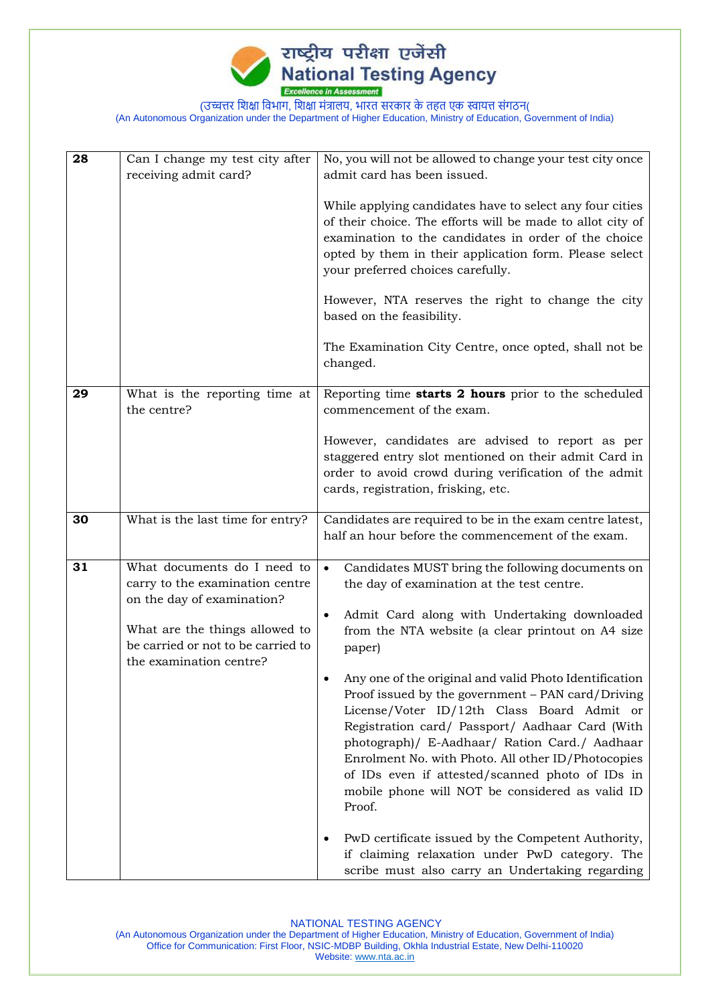

| 28 | Can I change my test city after<br>receiving admit card?                                                                                                                                        | No, you will not be allowed to change your test city once<br>admit card has been issued.                                                                                                                                                                                                                                                                                                                                                                                                                                                                                                                                                                                                                                                                                                                                     |  |
|----|-------------------------------------------------------------------------------------------------------------------------------------------------------------------------------------------------|------------------------------------------------------------------------------------------------------------------------------------------------------------------------------------------------------------------------------------------------------------------------------------------------------------------------------------------------------------------------------------------------------------------------------------------------------------------------------------------------------------------------------------------------------------------------------------------------------------------------------------------------------------------------------------------------------------------------------------------------------------------------------------------------------------------------------|--|
|    |                                                                                                                                                                                                 | While applying candidates have to select any four cities<br>of their choice. The efforts will be made to allot city of<br>examination to the candidates in order of the choice<br>opted by them in their application form. Please select<br>your preferred choices carefully.                                                                                                                                                                                                                                                                                                                                                                                                                                                                                                                                                |  |
|    |                                                                                                                                                                                                 | However, NTA reserves the right to change the city<br>based on the feasibility.                                                                                                                                                                                                                                                                                                                                                                                                                                                                                                                                                                                                                                                                                                                                              |  |
|    |                                                                                                                                                                                                 | The Examination City Centre, once opted, shall not be<br>changed.                                                                                                                                                                                                                                                                                                                                                                                                                                                                                                                                                                                                                                                                                                                                                            |  |
| 29 | What is the reporting time at<br>the centre?                                                                                                                                                    | Reporting time starts 2 hours prior to the scheduled<br>commencement of the exam.                                                                                                                                                                                                                                                                                                                                                                                                                                                                                                                                                                                                                                                                                                                                            |  |
|    |                                                                                                                                                                                                 | However, candidates are advised to report as per<br>staggered entry slot mentioned on their admit Card in<br>order to avoid crowd during verification of the admit<br>cards, registration, frisking, etc.                                                                                                                                                                                                                                                                                                                                                                                                                                                                                                                                                                                                                    |  |
| 30 | What is the last time for entry?                                                                                                                                                                | Candidates are required to be in the exam centre latest,<br>half an hour before the commencement of the exam.                                                                                                                                                                                                                                                                                                                                                                                                                                                                                                                                                                                                                                                                                                                |  |
| 31 | What documents do I need to<br>carry to the examination centre<br>on the day of examination?<br>What are the things allowed to<br>be carried or not to be carried to<br>the examination centre? | Candidates MUST bring the following documents on<br>$\bullet$<br>the day of examination at the test centre.<br>Admit Card along with Undertaking downloaded<br>from the NTA website (a clear printout on A4 size<br>paper)<br>Any one of the original and valid Photo Identification<br>Proof issued by the government - PAN card/Driving<br>License/Voter ID/12th Class Board Admit or<br>Registration card/ Passport/ Aadhaar Card (With<br>photograph)/ E-Aadhaar/ Ration Card./ Aadhaar<br>Enrolment No. with Photo. All other ID/Photocopies<br>of IDs even if attested/scanned photo of IDs in<br>mobile phone will NOT be considered as valid ID<br>Proof.<br>PwD certificate issued by the Competent Authority,<br>if claiming relaxation under PwD category. The<br>scribe must also carry an Undertaking regarding |  |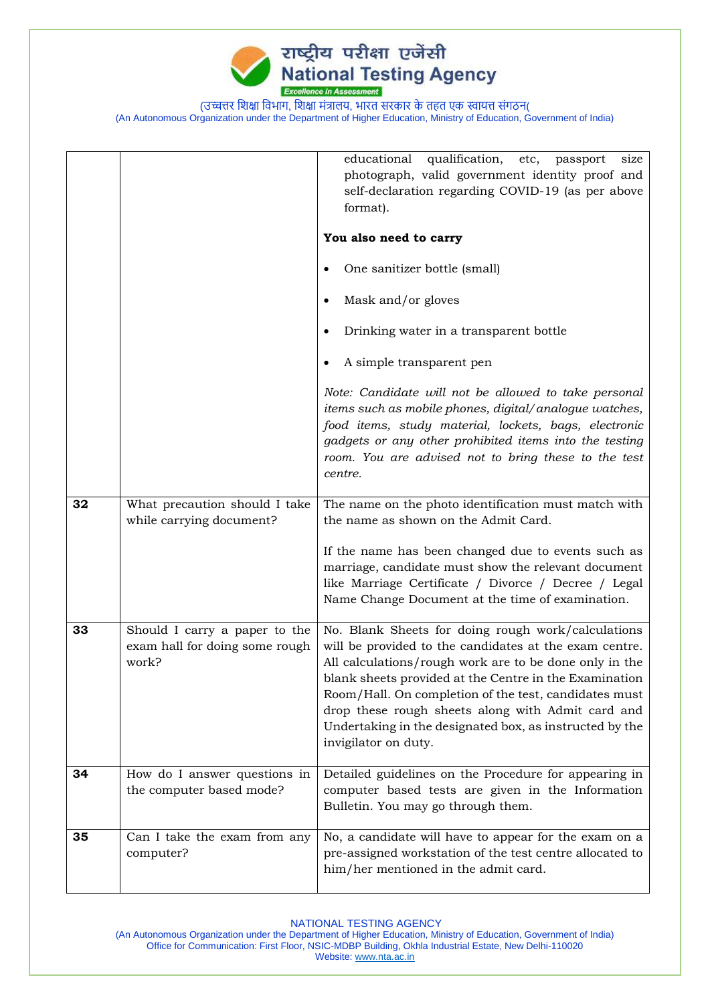

|    |                                                                          | educational qualification,<br>etc,<br>size<br>passport<br>photograph, valid government identity proof and<br>self-declaration regarding COVID-19 (as per above<br>format).                                                                                                                                                                                                                                                        |
|----|--------------------------------------------------------------------------|-----------------------------------------------------------------------------------------------------------------------------------------------------------------------------------------------------------------------------------------------------------------------------------------------------------------------------------------------------------------------------------------------------------------------------------|
|    |                                                                          | You also need to carry                                                                                                                                                                                                                                                                                                                                                                                                            |
|    |                                                                          | One sanitizer bottle (small)                                                                                                                                                                                                                                                                                                                                                                                                      |
|    |                                                                          | Mask and/or gloves                                                                                                                                                                                                                                                                                                                                                                                                                |
|    |                                                                          | Drinking water in a transparent bottle                                                                                                                                                                                                                                                                                                                                                                                            |
|    |                                                                          | A simple transparent pen                                                                                                                                                                                                                                                                                                                                                                                                          |
|    |                                                                          | Note: Candidate will not be allowed to take personal<br>items such as mobile phones, digital/analogue watches,<br>food items, study material, lockets, bags, electronic<br>gadgets or any other prohibited items into the testing<br>room. You are advised not to bring these to the test<br>centre.                                                                                                                              |
| 32 | What precaution should I take<br>while carrying document?                | The name on the photo identification must match with<br>the name as shown on the Admit Card.                                                                                                                                                                                                                                                                                                                                      |
|    |                                                                          | If the name has been changed due to events such as<br>marriage, candidate must show the relevant document<br>like Marriage Certificate / Divorce / Decree / Legal<br>Name Change Document at the time of examination.                                                                                                                                                                                                             |
| 33 | Should I carry a paper to the<br>exam hall for doing some rough<br>work? | No. Blank Sheets for doing rough work/calculations<br>will be provided to the candidates at the exam centre.<br>All calculations/rough work are to be done only in the<br>blank sheets provided at the Centre in the Examination<br>Room/Hall. On completion of the test, candidates must<br>drop these rough sheets along with Admit card and<br>Undertaking in the designated box, as instructed by the<br>invigilator on duty. |
| 34 | How do I answer questions in<br>the computer based mode?                 | Detailed guidelines on the Procedure for appearing in<br>computer based tests are given in the Information<br>Bulletin. You may go through them.                                                                                                                                                                                                                                                                                  |
| 35 | Can I take the exam from any<br>computer?                                | No, a candidate will have to appear for the exam on a<br>pre-assigned workstation of the test centre allocated to<br>him/her mentioned in the admit card.                                                                                                                                                                                                                                                                         |

NATIONAL TESTING AGENCY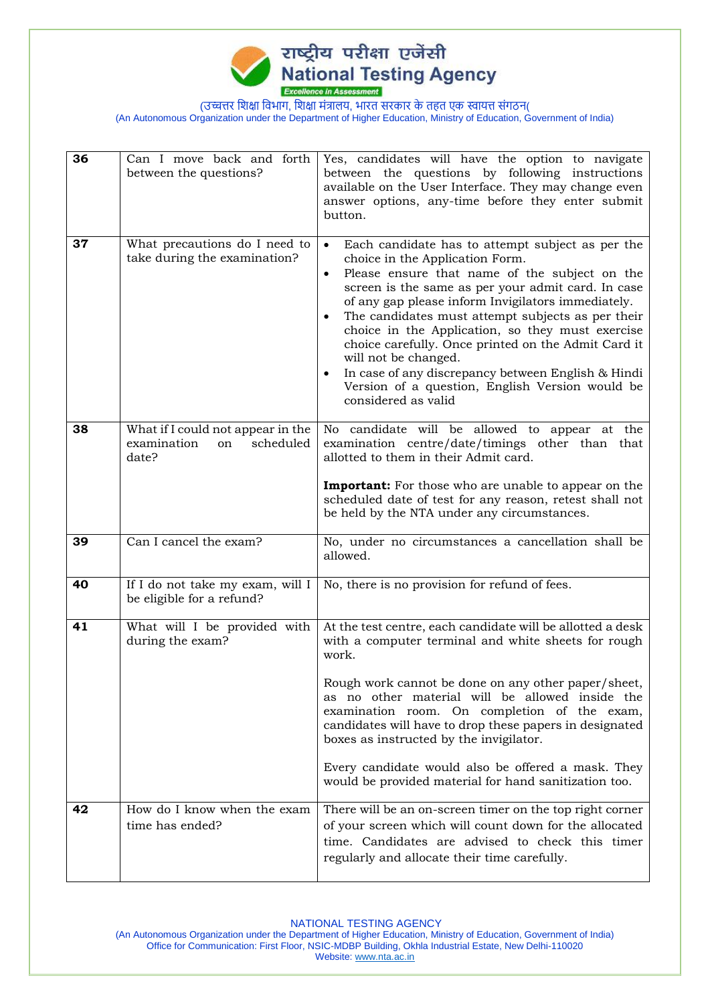

| 36 | Can I move back and forth<br>between the questions?                          | Yes, candidates will have the option to navigate<br>between the questions by following instructions<br>available on the User Interface. They may change even<br>answer options, any-time before they enter submit<br>button.                                                                                                                                                                                                                                                                                                                                                                                    |
|----|------------------------------------------------------------------------------|-----------------------------------------------------------------------------------------------------------------------------------------------------------------------------------------------------------------------------------------------------------------------------------------------------------------------------------------------------------------------------------------------------------------------------------------------------------------------------------------------------------------------------------------------------------------------------------------------------------------|
| 37 | What precautions do I need to<br>take during the examination?                | Each candidate has to attempt subject as per the<br>choice in the Application Form.<br>Please ensure that name of the subject on the<br>$\bullet$<br>screen is the same as per your admit card. In case<br>of any gap please inform Invigilators immediately.<br>The candidates must attempt subjects as per their<br>$\bullet$<br>choice in the Application, so they must exercise<br>choice carefully. Once printed on the Admit Card it<br>will not be changed.<br>In case of any discrepancy between English & Hindi<br>$\bullet$<br>Version of a question, English Version would be<br>considered as valid |
| 38 | What if I could not appear in the<br>examination<br>scheduled<br>on<br>date? | No candidate will be allowed to appear at the<br>examination centre/date/timings other than that<br>allotted to them in their Admit card.<br><b>Important:</b> For those who are unable to appear on the<br>scheduled date of test for any reason, retest shall not<br>be held by the NTA under any circumstances.                                                                                                                                                                                                                                                                                              |
| 39 | Can I cancel the exam?                                                       | No, under no circumstances a cancellation shall be<br>allowed.                                                                                                                                                                                                                                                                                                                                                                                                                                                                                                                                                  |
| 40 | If I do not take my exam, will I<br>be eligible for a refund?                | No, there is no provision for refund of fees.                                                                                                                                                                                                                                                                                                                                                                                                                                                                                                                                                                   |
| 41 | What will I be provided with<br>during the exam?                             | At the test centre, each candidate will be allotted a desk<br>with a computer terminal and white sheets for rough<br>work.<br>Rough work cannot be done on any other paper/sheet,<br>as no other material will be allowed inside the<br>examination room. On completion of the exam,<br>candidates will have to drop these papers in designated<br>boxes as instructed by the invigilator.<br>Every candidate would also be offered a mask. They<br>would be provided material for hand sanitization too.                                                                                                       |
| 42 | How do I know when the exam<br>time has ended?                               | There will be an on-screen timer on the top right corner<br>of your screen which will count down for the allocated<br>time. Candidates are advised to check this timer<br>regularly and allocate their time carefully.                                                                                                                                                                                                                                                                                                                                                                                          |

NATIONAL TESTING AGENCY